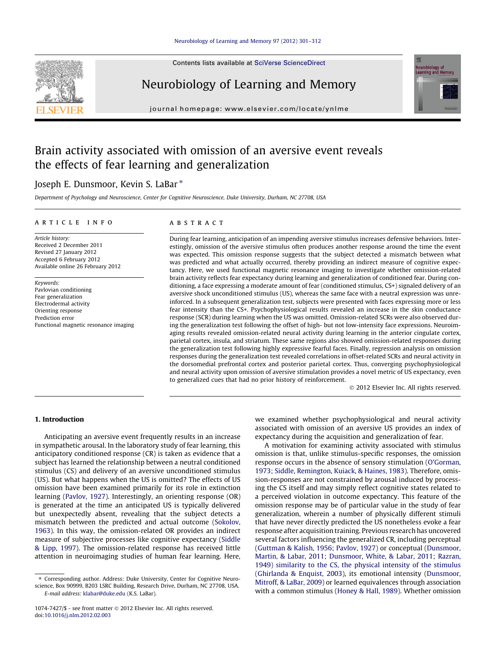Contents lists available at [SciVerse ScienceDirect](http://www.sciencedirect.com/science/journal/10747427)





## Neurobiology of Learning and Memory

journal homepage: [www.elsevier.com/locate/ynlme](http://www.elsevier.com/locate/ynlme)

## Brain activity associated with omission of an aversive event reveals the effects of fear learning and generalization

### Joseph E. Dunsmoor, Kevin S. LaBar<sup>\*</sup>

Department of Psychology and Neuroscience, Center for Cognitive Neuroscience, Duke University, Durham, NC 27708, USA

#### article info

Article history: Received 2 December 2011 Revised 27 January 2012 Accepted 6 February 2012 Available online 26 February 2012

Keywords: Pavlovian conditioning Fear generalization Electrodermal activity Orienting response Prediction error Functional magnetic resonance imaging

#### **ABSTRACT**

During fear learning, anticipation of an impending aversive stimulus increases defensive behaviors. Interestingly, omission of the aversive stimulus often produces another response around the time the event was expected. This omission response suggests that the subject detected a mismatch between what was predicted and what actually occurred, thereby providing an indirect measure of cognitive expectancy. Here, we used functional magnetic resonance imaging to investigate whether omission-related brain activity reflects fear expectancy during learning and generalization of conditioned fear. During conditioning, a face expressing a moderate amount of fear (conditioned stimulus, CS+) signaled delivery of an aversive shock unconditioned stimulus (US), whereas the same face with a neutral expression was unreinforced. In a subsequent generalization test, subjects were presented with faces expressing more or less fear intensity than the CS+. Psychophysiological results revealed an increase in the skin conductance response (SCR) during learning when the US was omitted. Omission-related SCRs were also observed during the generalization test following the offset of high- but not low-intensity face expressions. Neuroimaging results revealed omission-related neural activity during learning in the anterior cingulate cortex, parietal cortex, insula, and striatum. These same regions also showed omission-related responses during the generalization test following highly expressive fearful faces. Finally, regression analysis on omission responses during the generalization test revealed correlations in offset-related SCRs and neural activity in the dorsomedial prefrontal cortex and posterior parietal cortex. Thus, converging psychophysiological and neural activity upon omission of aversive stimulation provides a novel metric of US expectancy, even to generalized cues that had no prior history of reinforcement.

- 2012 Elsevier Inc. All rights reserved.

#### 1. Introduction

Anticipating an aversive event frequently results in an increase in sympathetic arousal. In the laboratory study of fear learning, this anticipatory conditioned response (CR) is taken as evidence that a subject has learned the relationship between a neutral conditioned stimulus (CS) and delivery of an aversive unconditioned stimulus (US). But what happens when the US is omitted? The effects of US omission have been examined primarily for its role in extinction learning ([Pavlov, 1927\)](#page--1-0). Interestingly, an orienting response (OR) is generated at the time an anticipated US is typically delivered but unexpectedly absent, revealing that the subject detects a mismatch between the predicted and actual outcome [\(Sokolov,](#page--1-0) [1963\)](#page--1-0). In this way, the omission-related OR provides an indirect measure of subjective processes like cognitive expectancy [\(Siddle](#page--1-0) [& Lipp, 1997\)](#page--1-0). The omission-related response has received little attention in neuroimaging studies of human fear learning. Here,

we examined whether psychophysiological and neural activity associated with omission of an aversive US provides an index of expectancy during the acquisition and generalization of fear.

A motivation for examining activity associated with stimulus omission is that, unlike stimulus-specific responses, the omission response occurs in the absence of sensory stimulation [\(O'Gorman,](#page--1-0) [1973; Siddle, Remington, Kuiack, & Haines, 1983\)](#page--1-0). Therefore, omission-responses are not constrained by arousal induced by processing the CS itself and may simply reflect cognitive states related to a perceived violation in outcome expectancy. This feature of the omission response may be of particular value in the study of fear generalization, wherein a number of physically different stimuli that have never directly predicted the US nonetheless evoke a fear response after acquisition training. Previous research has uncovered several factors influencing the generalized CR, including perceptual ([Guttman & Kalish, 1956; Pavlov, 1927\)](#page--1-0) or conceptual (Dunsmoor, Martin, & Labar, 2011; Dunsmoor, White, & Labar, 2011; Razran, 1949) similarity to the CS, the physical intensity of the stimulus [\(Ghirlanda & Enquist, 2003\)](#page--1-0), its emotional intensity [\(Dunsmoor,](#page--1-0) [Mitroff, & LaBar, 2009](#page--1-0)) or learned equivalences through association with a common stimulus ([Honey & Hall, 1989\)](#page--1-0). Whether omission

<sup>⇑</sup> Corresponding author. Address: Duke University, Center for Cognitive Neuroscience, Box 90999, B203 LSRC Building, Research Drive, Durham, NC 27708, USA. E-mail address: [klabar@duke.edu](mailto:klabar@duke.edu) (K.S. LaBar).

<sup>1074-7427/\$ -</sup> see front matter @ 2012 Elsevier Inc. All rights reserved. doi[:10.1016/j.nlm.2012.02.003](http://dx.doi.org/10.1016/j.nlm.2012.02.003)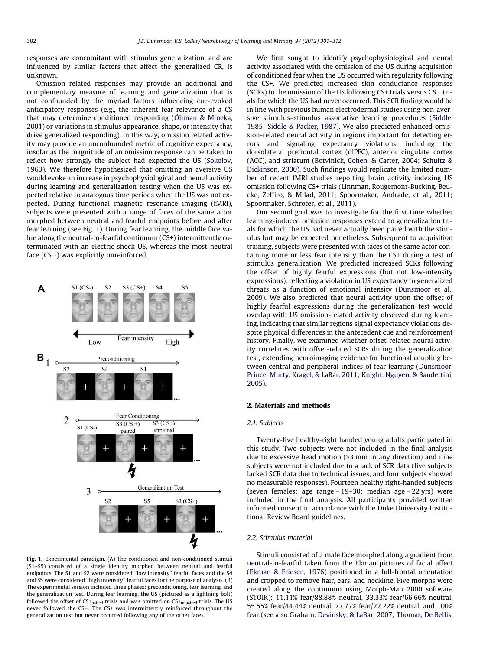responses are concomitant with stimulus generalization, and are influenced by similar factors that affect the generalized CR, is unknown.

Omission related responses may provide an additional and complementary measure of learning and generalization that is not confounded by the myriad factors influencing cue-evoked anticipatory responses (e.g., the inherent fear-relevance of a CS that may determine conditioned responding ([Öhman & Mineka,](#page--1-0) [2001\)](#page--1-0) or variations in stimulus appearance, shape, or intensity that drive generalized responding). In this way, omission related activity may provide an unconfounded metric of cognitive expectancy, insofar as the magnitude of an omission response can be taken to reflect how strongly the subject had expected the US [\(Sokolov,](#page--1-0) [1963\)](#page--1-0). We therefore hypothesized that omitting an aversive US would evoke an increase in psychophysiological and neural activity during learning and generalization testing when the US was expected relative to analogous time periods when the US was not expected. During functional magnetic resonance imaging (fMRI), subjects were presented with a range of faces of the same actor morphed between neutral and fearful endpoints before and after fear learning (see Fig. 1). During fear learning, the middle face value along the neutral-to-fearful continuum (CS+) intermittently coterminated with an electric shock US, whereas the most neutral face (CS-) was explicitly unreinforced.



Fig. 1. Experimental paradigm. (A) The conditioned and non-conditioned stimuli (S1–S5) consisted of a single identity morphed between neutral and fearful endpoints. The S1 and S2 were considered ''low intensity'' fearful faces and the S4 and S5 were considered ''high intensity'' fearful faces for the purpose of analysis. (B) The experimental session included three phases: preconditioning, fear learning, and the generalization test. During fear learning, the US (pictured as a lightning bolt) followed the offset of  $CS+_{\text{paired}}$  trials and was omitted on  $CS+_{\text{unpaired}}$  trials. The US never followed the CS-. The CS+ was intermittently reinforced throughout the generalization test but never occurred following any of the other faces.

We first sought to identify psychophysiological and neural activity associated with the omission of the US during acquisition of conditioned fear when the US occurred with regularity following the CS+. We predicted increased skin conductance responses (SCRs) to the omission of the US following CS+ trials versus CS- trials for which the US had never occurred. This SCR finding would be in line with previous human electrodermal studies using non-aversive stimulus–stimulus associative learning procedures ([Siddle,](#page--1-0) [1985; Siddle & Packer, 1987\)](#page--1-0). We also predicted enhanced omission-related neural activity in regions important for detecting errors and signaling expectancy violations, including the dorsolateral prefrontal cortex (dlPFC), anterior cingulate cortex (ACC), and striatum [\(Botvinick, Cohen, & Carter, 2004; Schultz &](#page--1-0) [Dickinson, 2000\)](#page--1-0). Such findings would replicate the limited number of recent fMRI studies reporting brain activity indexing US omission following CS+ trials (Linnman, Rougemont-Bucking, Beucke, Zeffiro, & Milad, 2011; Spoormaker, Andrade, et al., 2011; Spoormaker, Schroter, et al., 2011).

Our second goal was to investigate for the first time whether learning-induced omission responses extend to generalization trials for which the US had never actually been paired with the stimulus but may be expected nonetheless. Subsequent to acquisition training, subjects were presented with faces of the same actor containing more or less fear intensity than the CS+ during a test of stimulus generalization. We predicted increased SCRs following the offset of highly fearful expressions (but not low-intensity expressions), reflecting a violation in US expectancy to generalized threats as a function of emotional intensity [\(Dunsmoor et al.,](#page--1-0) [2009\)](#page--1-0). We also predicted that neural activity upon the offset of highly fearful expressions during the generalization test would overlap with US omission-related activity observed during learning, indicating that similar regions signal expectancy violations despite physical differences in the antecedent cue and reinforcement history. Finally, we examined whether offset-related neural activity correlates with offset-related SCRs during the generalization test, extending neuroimaging evidence for functional coupling between central and peripheral indices of fear learning [\(Dunsmoor,](#page--1-0) [Prince, Murty, Kragel, & LaBar, 2011; Knight, Nguyen, & Bandettini,](#page--1-0) [2005\)](#page--1-0).

#### 2. Materials and methods

#### 2.1. Subjects

Twenty-five healthy-right handed young adults participated in this study. Two subjects were not included in the final analysis due to excessive head motion (>3 mm in any direction) and nine subjects were not included due to a lack of SCR data (five subjects lacked SCR data due to technical issues, and four subjects showed no measurable responses). Fourteen healthy right-handed subjects (seven females; age range = 19–30; median age = 22 yrs) were included in the final analysis. All participants provided written informed consent in accordance with the Duke University Institutional Review Board guidelines.

#### 2.2. Stimulus material

Stimuli consisted of a male face morphed along a gradient from neutral-to-fearful taken from the Ekman pictures of facial affect ([Ekman & Friesen, 1976\)](#page--1-0) positioned in a full-frontal orientation and cropped to remove hair, ears, and neckline. Five morphs were created along the continuum using Morph-Man 2000 software (STOIK): 11.11% fear/88.88% neutral, 33.33% fear/66.66% neutral, 55.55% fear/44.44% neutral, 77.77% fear/22.22% neutral, and 100% fear (see also [Graham, Devinsky, & LaBar, 2007; Thomas, De Bellis,](#page--1-0)